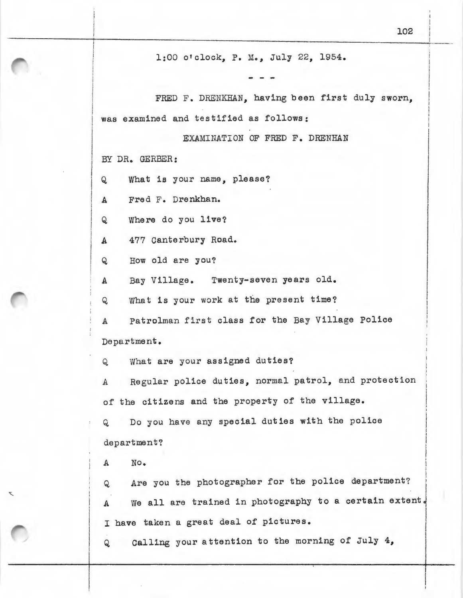1:00 o'clock, P. M., July 22, 1954.

 $\blacksquare$ FRED F. DRENKHAN, having been first duly sworn. was examined and testified as follows:

EXAMINATION OF FRED F. DRENHAN

l BY DR. GERBER:

! i in real and an I I I

 $\begin{aligned} \mathcal{L}_{\text{in}}(\mathcal{L}_{\text{in}}) = \mathcal{L}_{\text{in}}(\mathcal{L}_{\text{in}}) \end{aligned}$ I I I

! I

 $\mathbf{I}$  $Q$ What is your name, please?

Fred F. Drenkhan.  $\mathbf{A}$ 

 $\overline{Q}$ Where do you live?

 $\mathbf{A}$ 477 Canterbury Road.

Q How old are you?

A Bay Village. Twenty-seven years old.

Q What 1s your work at the present time?

A Patrolman first class for the Bay Village Police Department.

Q. What are your assigned duties?

A Regular police duties, normal patrol, and protection of the citizens and the property of the village.

Q Do you have any special duties with the police department?

A No.

/

Q Are you the photographer for the police department? A We all are trained in photography to a certain extent. I have taken a great deal of pictures.

<sup>Q</sup>Calling your attention to the morning of July 4,

I I

! I I I I I j i I i I I

 $\overline{\phantom{a}}$ I I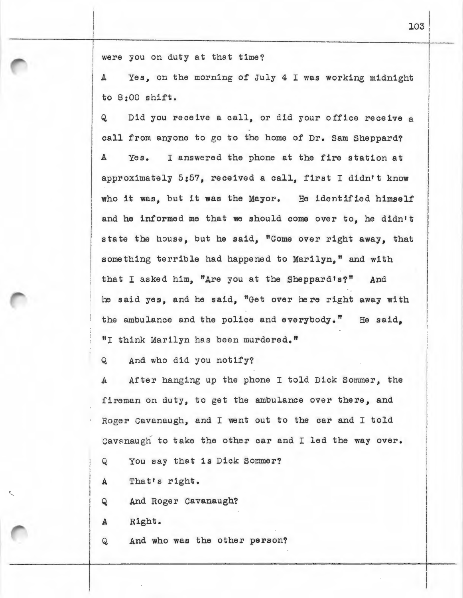were you on duty at that time?

A Yes, on the morning of July 4 I was working midnight to 8:00 shift.

Q Did you receive a call, or did your office receive a call from anyone to go to the home of Dr. Sam Sheppard? Yes. I answered the phone at the fire station at approximately 5:57, received a call, first I didn't know who it was, but it was the Mayor. He identified himself and he informed me that we should come over to, he didn't state the house, but he said, "Come over right away, that something terrible had happened to Marilyn," and with that I asked him, "Are you at the Sheppard's?" And he said yes, and he said, "Get over here right away with the ambulance and the police and everybody." He said, "I think Marilyn has been murdered."

Q And who did you notify?

A After hanging up the phone I told Dick Sommer, the fireman on duty, to get the ambulance over there, and Roger Cavanaugh, and I went out to the car and I told Cavanaugh to take the other car and I led the way over.

- <sup>Q</sup>You say that is Dick Sommer?
- A That's right.
- Q And Roger Cavanaugh?
- A Right.
- Q And who was the other person?

! I I

I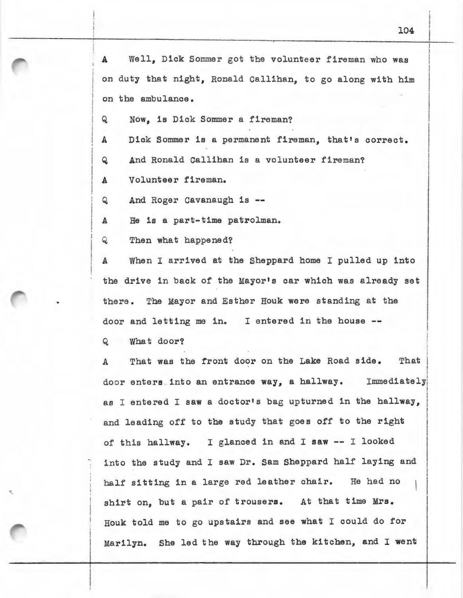A Well, Dick Sommer got the volunteer fireman who was on duty that night, Ronald Callihan, to go along with him on the ambulance. Q Now, is Dick Sommer a fireman? A Dick Sommer is a permanent fireman, that's correct. Q And Ronald Callihan is a volunteer fireman? A Volunteer fireman.

Q And Roger Cavanaugh is --

A He is a part-time patrolman.

Q Then what happened?

A When I arrived at the Sheppard home I pulled up into the drive in back of the Mayor's car which was already set there. The Mayor and Esther Houk were standing at the door and letting me in. I entered in the house --

Q What door?

A That was the front door on the Lake Road side. i That door enters into an entrance way, a hallway. Immediately I as I entered I saw a doctor's bag upturned in the hallway, and leading off to the study that goes off to the right of this hallway. I glanced in and I saw -- I looked into the study and I saw Dr. Sam Sheppard half laying and half sitting in a large red leather chair. He had no shirt on, but a pair of trousers. At that time Mrs. Houk told me to go upstairs and see what I could do for Marilyn. She led the way through the kitchen, and I went

I I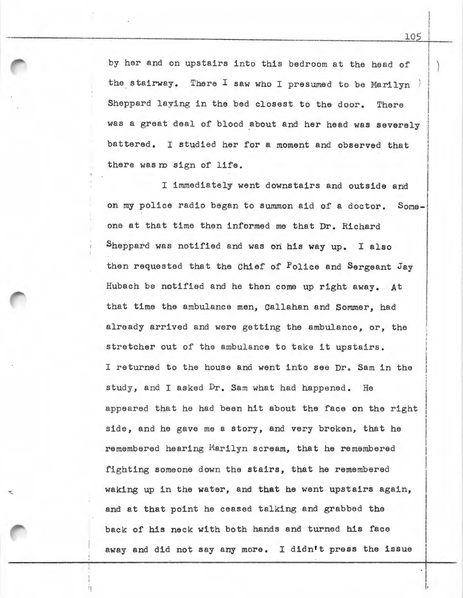by her and on upstairs into this bedroom at the head of the stairway. There I saw who I presumed to be Marilyn Sheppard laying in the bed closest to the door. There was a great deal of blood about and her head was severely battered. I studied her for a moment and observed that there was m sign of life.

I immediately went downstairs and outside and on my police radio began to summon aid of a doctor. Someone at that time then informed me that Dr. Richard Sheppard was notified and was on his way up. I also then requested that the Chief of Police and Sergeant Jay Hubach be notified and he then come up right away. *At*  that time the ambulance men, Callahan and Sommer, had already arrived and were getting the ambulance, or, the stretcher out of the ambulance to take it upstairs. I returned to the house and went into see Dr. Sam in the study, and I asked Dr. Sam what had happened. He appeared that he had been hit about the face on the right side, and he gave me a story, and very broken, that he remembered hearing Marilyn scream, that he remembered fighting someone down the stairs, that he remembered waking up in the water, and **that** he went upstairs again, and at that point he ceased talking and grabbed the back of his neck with both hands and turned his face away and did not say any more. I didn't press the issue

 $\mathbf{I}$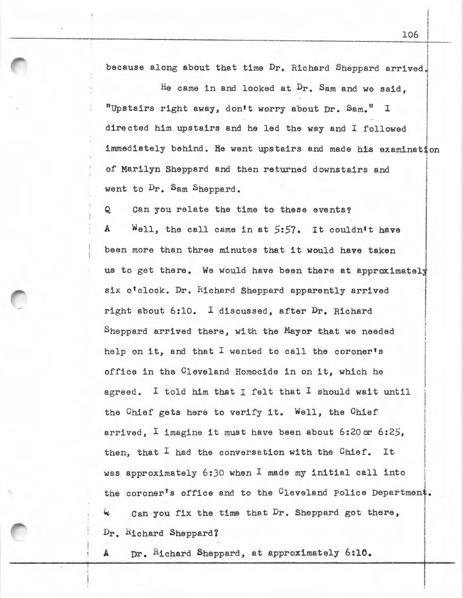I because along about that time Dr. Richard Sheppard arrived.

He came in and looked at Dr. Sam and we said, "Upstairs right away, don't worry about Dr. Sam." <sup>I</sup> directed him upstairs and he led the way and I followed I I  $\overline{\phantom{a}}$ I immediately behind. He went upstairs and made his examination of Marilyn Sheppard and then returned downstairs and went to Dr. Sam Sheppard. I

Q can you relate the time to these events?

Well, the call came in at 5:57. It couldn't have been more than three minutes that it would have taken us to get there. We would have been there at approximately six o'clock. Dr. Richard Sheppard apparently arrived right about 6:10. I discussed, after Dr. Richard Sheppard arrived there, with the Mayor that we needed help on it, and that I wanted to call the coroner's office in the Cleveland Homocide in on it, which he agreed. I told him that I felt that I should wait until the Chief gets here to verify it. Well, the Chief arrived, I imagine it must have been about 6:20ar 6:25, *then,* that I had the conversation with the Chief. It I I i I l j I I I was approximately 6:30 when  $I$  made my initial call into the coroner's office and to the  $C_1$ eveland Police Department. Can you fix the time that Dr. Sheppard got there, Dr. Richard Sheppard?

A Dr. Richard Sheppard, at approximately 6:10.

·,\_

i I I

I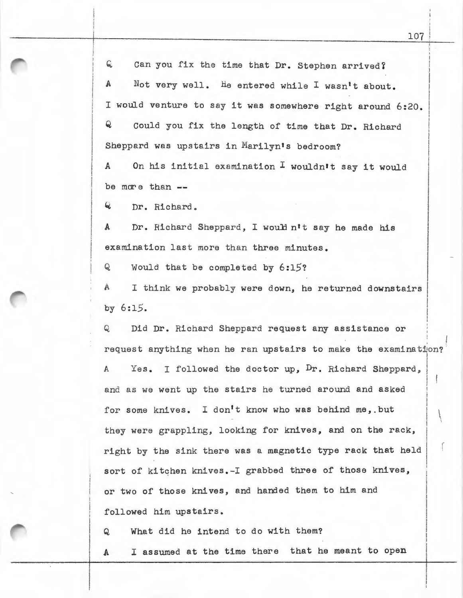G. Can you fix the time that Dr. Stephen arrived? A Not very well. He entered while I wasn't about. <sup>I</sup>would venture to say it was somewhere right around 6:20. Q Could you fix the length of time that Dr. Richard Sheppard was upstairs in Marilyn's bedroom?

A On his initial examination  $I$  wouldn't say it would be more than  $-$ 

Q Dr. Richard.

A Dr. Richard Sheppard, I would n't say he made his examination last more than three minutes.

Q Would that be completed by 6:15?

I think we probably were down, he returned downstairs by 6:15.

Q Did Dr. Richard Sheppard request any assistance or request anything when he ran upstairs to make the examination? A Yes. I followed the doctor *up,* Dr. Richard Sheppard, and as we went up the stairs he turned around and asked for some knives. I don't know who was behind me, but ' they were grappling, looking for knives, and on the rack, right by the sink there was a magnetic type rack that held sort of kitchen knives.-I grabbed three of those knives, or two of those knives, and handed them to him and followed him upstairs.

Q What did he intend to do with them?

A I assumed at the time there that he meant to open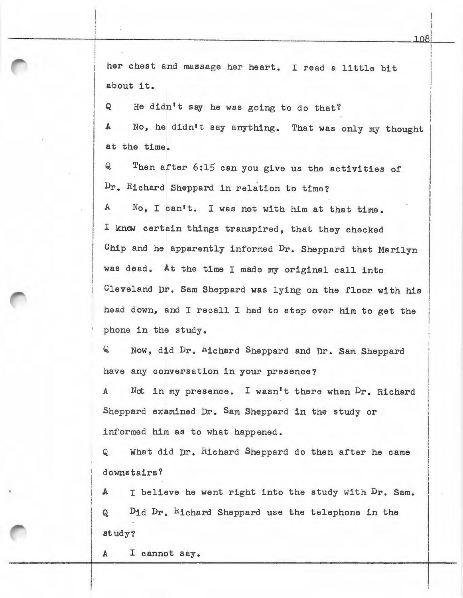her chest and massage her heart. I read a little bit about it.

Q He didn't say he was going to do that?

*A No,* he didn't say anything. That was only my thought at the time.

 $\bf Q$ Dr. Richard Sheppard in relation to time? Then after 6:15 can you give us the activities of

A No, I can't. I was not with him at that time. I know certain things transpired, that they checked Chip and he apparently informed Dr. Sheppard that Marilyn was dead. At the time I made my original call into Cleveland Dr. Sam Sheppard was lying on the floor with his head down, and I recall I had to step over him to get the phone in the study.

Q Now, did Dr. hichard Sheppard and Dr. Sam Sheppard have any conversation in your presence?

A Not in my presence. I wasn't there when Dr. Richard Sheppard examined Dr. Sam Sheppard in the study or informed him as to what happened.

Q What did Dr. Richard Sheppard do then after he came downstairs?

A I believe he went right into the study with Dr. Sam. Q Did Dr. hichard Sheppard use the telephone in the study?

A I cannot say.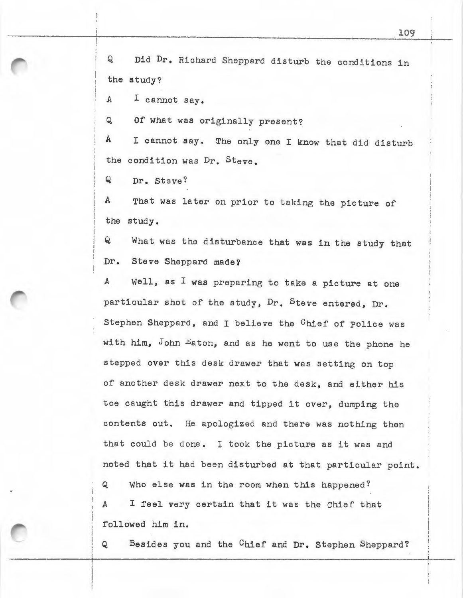Q Did Dr. Richard Sheppard disturb the conditions in the study?

A I cannot say.

Q Of what was originally present?

A I cannot say. The only one I know that did disturb the condition was Dr. Steve.

Q Dr. Steve?

A That was later on prior to taking the picture of the study.

Q What was the disturbance that was in the study that Dr. Steve Sheppard made?

A Well, as I was preparing to take a picture at one particular shot of the study, Dr. Steve entered, Dr. Stephen Sheppard, and I believe the Chief of Police was with him, John Eaton, and as he went to use the phone he stepped over this desk drawer that was setting on top of another desk drawer next to the desk, and either his toe caught this drawer and tipped it over, dumping the contents out. He apologized and there was nothing then that could be done. I took the picture as it was and noted that it had been disturbed at that particular point. Q Who else was in the room when this happened? A I feel very certain that it was the Chief that followed him in.

Q Besides you and the Chief and Dr. Stephen Sheppard?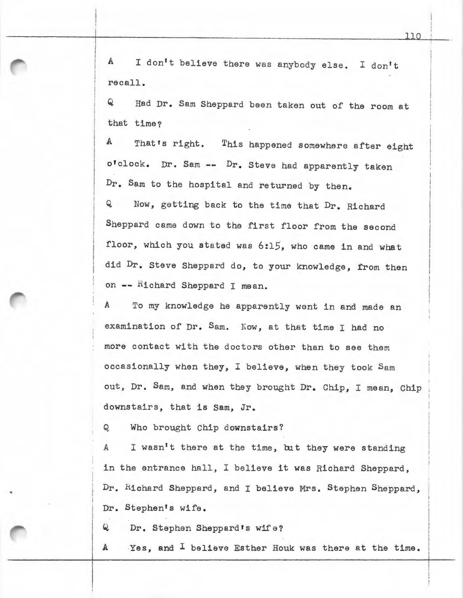A I don't believe there was anybody else. I don't recall.

Q Had Dr. Sam Sheppard been taken out of the room at that time?

A That's right. This happened somewhere after eight o'clock. Dr. Sam -- Dr. Steve had apparently taken Dr. Sam to the hospital and returned by then. Q Now, getting back to the time that Dr. Richard Sheppard came down to the first floor from the second floor, which you stated was 6:15, who came in and what did Dr. Steve Sheppard do, to your knowledge, from then on -- Richard Sheppard I mean.

*<sup>A</sup>*To my knowledge he apparently went in and made an examination of Dr. Sam. Now, at that time I had no more contact with the doctors other than to see them occasionally when they, I believe, when they took Sam *out,* Dr. Sam, and when they brought Dr. Chip, I mean, Chip downstairs, that is Sam, Jr.

Q Who brought Chip downstairs?

A I wasn't there at the time, but they were standing in the entrance hall, I believe it was Richard Sheppard, Dr. Kichard Sheppard, and I believe Mrs. Stephen Sheppard, Dr. Stephen's wife.

Q Dr. Stephen Sheppard's wife?

A Yes, and <sup>I</sup> believe Esther Houk was there at the time.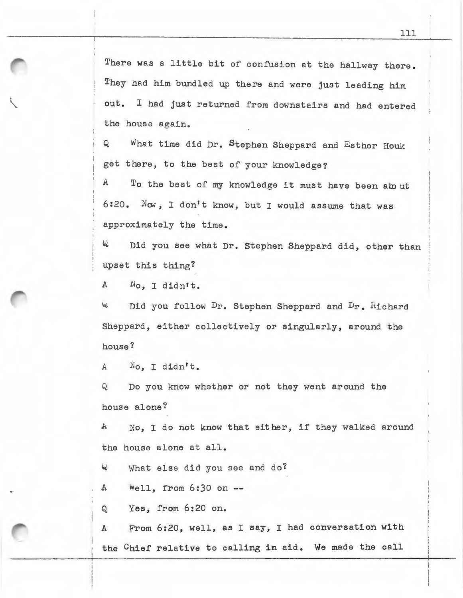There was a little bit of confusion at the hallway there. They had him bundled up there and were just leading him out. I had just returned from downstairs and had entered the house again.

Q What time did Dr. Stephen Sheppard and Esther Houk get there, to the best of your knowledge?

A To the best of my knowledge it must have been about 6:20. *Nav,* I don't know, but I would assume that was approximately the time.

<sup>~</sup>Did you see what Dr. Stephen Sheppard *did,* other than upset this thing?

<sup>A</sup>No, I didn't.

<sup>~</sup>Did you follow Dr. Stephen Sheppard and Dr. hichard Sheppard, either collectively or singularly, around the house?

A No. I didn't.

Q Do you know whether or not they went around the house alone?

A No, I do not know that either, if they walked around the house alone at all.

4 What else did you see and do?

 $A$   $Well, from 6:30 on -$ 

Q Yes, from 6:20 on.

A From 6:20, well, as I say, I had conversation with the Chief relative to calling in aid. We made the call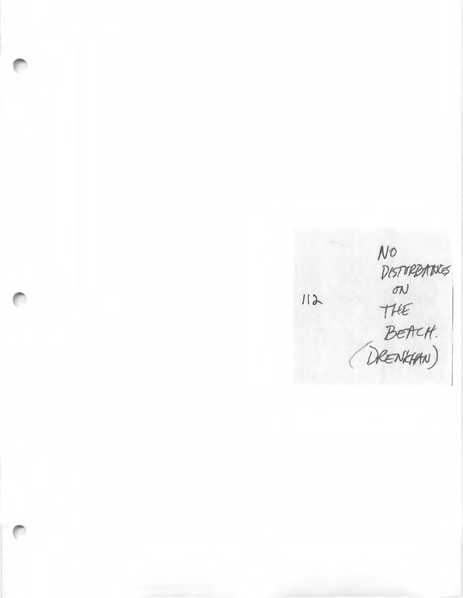*cf(. (f)feJ. 11W)* 

 $112$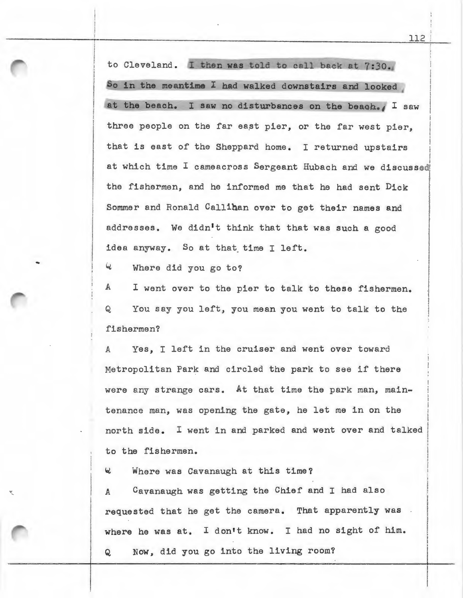to Cleveland. I then was told to call back at 7:30. So in the meantime I had walked downstairs and looked ' at the beach. I saw no disturbances on the beach., I saw three people on the far east pier, or the far west pier. that is east of the Sheppard home. I returned upstairs I at which time I cameacross Sergeant Hubach and we discussed the fishermen, and he informed me that he had sent Dick Sommer and Ronald Callihan over to get their names and addresses. We didn't think that that was such a good idea anyway. So at that time I left. I I I I I I

6 Where did you go to?

A I went over to the pier to talk to these fishermen. Q You say you left, you mean you went to talk to the fishermen?

<sup>A</sup>*Yes,* I left in the cruiser and went over toward Metropolitan Park and circled the park to see if there were any strange cars. At that time the park man, maintenance man, was opening the gate, he let me in on the north side. I went in and parked and went over and talked to the fishermen.

<sup>~</sup>Where was Cavanaugh at this time?

<sup>A</sup>Cavanaugh was getting the Chief and I had also requested that he get the camera. That apparently was where he was at. I don't know. I had no sight of him.

Q Now, did you go into the living room?

I I I i ! i i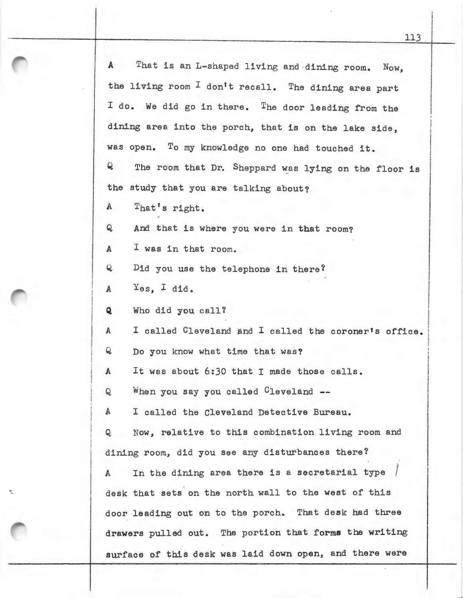A That is an L-shaped living and ·dining room. Now, the living room  $I$  don't recall. The dining area part I do. We did go in there. The door leading from the dining area into the porch, that is on the lake side, was open. To my knowledge no one had touched it. Q The room that Dr. Sheppard was lying on the floor is the study that you are talking about? A That's right. Q And that is where you were in that room? A I was in that room. Q Did you use the telephone in there? A Yes, I did. Q Who did you call? A I called Cleveland and I called the coroner's office. Q Do you know what time that was? A It was about 6:30 that I made those calls. Q When you say you called Cleveland -- A I called the Cleveland Detective Bureau. Q Now, relative to this combination living room and dining room, did you see any disturbances there? f In the dining area there is a secretarial type *i*   $\mathbf{A}$ desk that sets on the north wall to the west of this door leading out on to the porch. That desk had three drawers pulled out. The portion that forms the writing surface of this desk was laid down open, and there were

Ŕ

113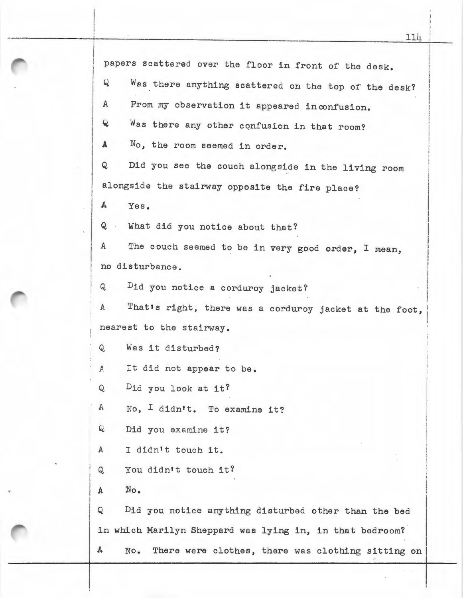papers scattered over the floor in front of the desk. Q Was there anything scattered on the *top* of the desk? A From my observation it appeared inconfusion. Was there any other confusion in that room?  $\mathbf{Q}$ "" <sup>A</sup>*No,* the room seemed in order. Q Did you see the couch alongside in the living room alongside the stairway opposite the fire place? A Yes. Q What did you notice about that? A The couch seemed to be in very good order, I mean, no disturbance. Q Did you notice a corduroy jacket? *<sup>A</sup>*Thatrs right, there was a corduroy jacket at the foot, , nearest to the stairway. Q Was it disturbed? *<sup>A</sup>*It did not appear to be. Q Did you look at it? A No, I didn't. To examine it? Q Did you examine it? A I didn't touch it. Q You didn't touch it?  $A$   $No.$ Q Did you notice anything disturbed other than the bed in which Marilyn Sheppard was lying in, in that bedroom? A No. There were clothes, there was clothing sitting on

11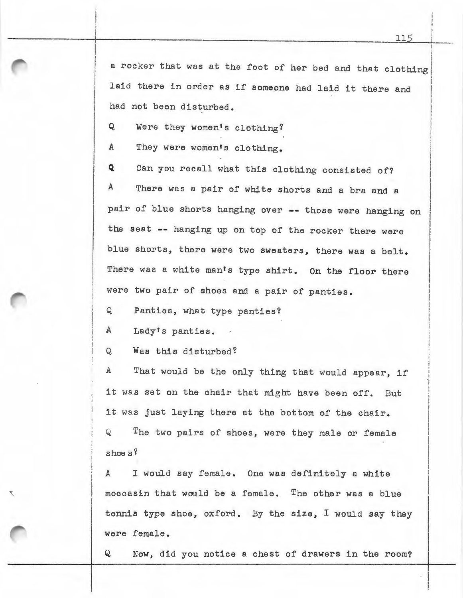a rocker that was at the foot of her bed and that clothing laid there in order as if someone had laid it there and had not been disturbed.

Q Were they women's clothing?

A They were women's clothing.

Q Can you recall what this clothing consisted of? A There was a pair of white shorts and a bra and a pair of blue shorts hanging over -- those were hanging on the seat -- hanging up on top of the rocker there were blue shorts, there were two sweaters, there was a belt. There was a white man's type shirt. On the floor there were two pair of shoes and a pair of panties.

Q Panties, what type panties?

A Lady's panties.

T

Q Was this disturbed?

A That would be the only thing that would appear, if it was set on the chair that might have been off. But it was just laying there at the bottom of the chair. Q The two pairs of shoes, were they male or female shoes?

A I would say female. One was definitely a white moccasin that would be a female. The other was a blue tennis type shoe, oxford. By the size, I would say they were female.

Q Now, did you notice a chest of drawers in the room?

f i I

I

i

 $\mathbf{I}$ I I I I I

I I I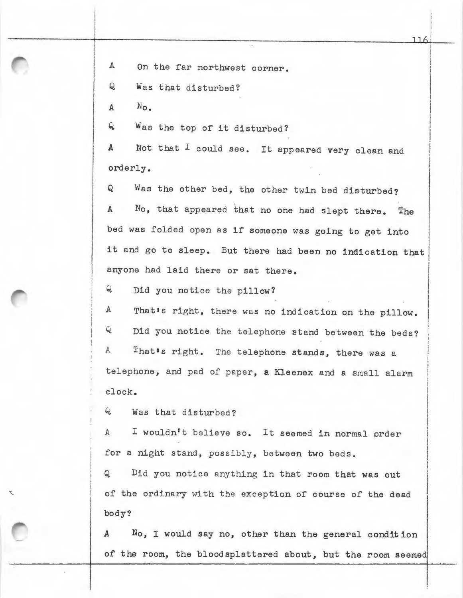A On the far northwest corner.

Q Was that disturbed?

 $A \qquad N_{\Omega}$ .

Q Was the top of it disturbed?

A Not that I could see. It appeared very clean and orderly.

Q Was the other bed, the other twin bed disturbed? <sup>A</sup>No, that appeared that no one had slept there. The bed was folded open as if someone was going to get into it and go to sleep. But there had been no indication that anyone had laid there or sat there.

Q Did you notice the pillow?

A That's right, there was no indication on the pillow. Q Did you notice the telephone stand between the beds? A That's right. The telephone stands, there was a telephone, and pad of paper, a Kleenex and a small alarm clock.

 $Q$  Was that disturbed?

A I wouldn't believe so. It seemed in normal order for a night stand, possibly, between two beds.

Q Did you notice anything in that room that was out of the ordinary with the exception of course of the dead body?

A No, I would say no, other than the general condition of the room, the bloodsplattered about, but the room seemed

J J 61

. ! I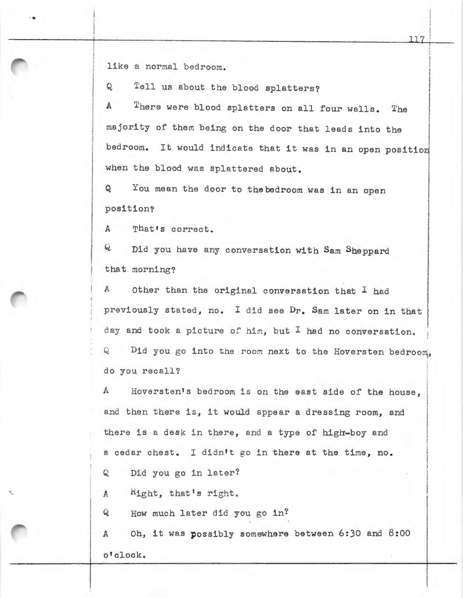like a normal bedroom.

...

Q Tell us about the blood splatters?

A There were blood splatters on all four walls. The I ! ! majority of them being on the door that leads into the bedroom. It would indicate that it was in an open position when the blood was splattered about.

Q You mean the door to thebedroom was in an open position?

A That's correct.

Q Did you have any conversation with Sam Sheppard that morning?

A Other than the original conversation that  $I$  had previously stated, no. I did see Dr. Sam later on in that day and took a picture of him, but I had no conversation. Q Did you go into the room next to the Hoversten bedroom, do you recall?

A Hoversten's bedroom is on the east side of the house, and then there is, it would appear a dressing room, and there is a desk in there, and a type of high-boy and a cedar chest. I didn't go in there at the time, no.

Q Did you go in later?

 $A$   $R_{1ght}$ , that's right.

Q How much later did you go in?

*A Oh,* it was possibly somewhere between 6:30 and 8:00 o•clocko

I

i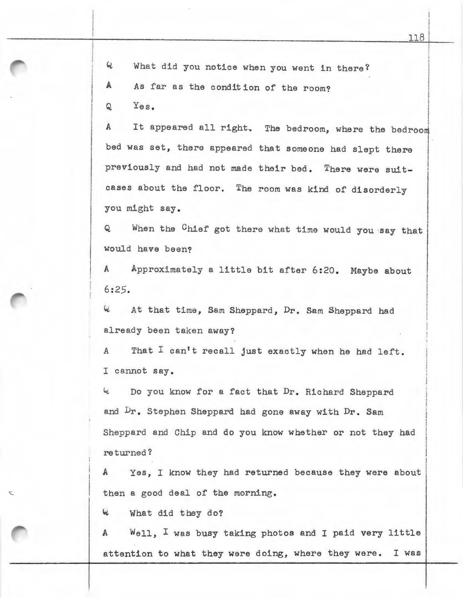$Q$  What did you notice when you went in there?

A As far as the condition of the room?

 $Q = Y_{\Theta S}$ .

A It appeared all right. The bedroom, where the bedroom bed was set, there appeared that someone had slept there previously and had not made their bed. There were suit-! cases about the floor. The room was kind of disorderly you might say.

Q When the Chief got there what time would you say that would have been?

A Approximately a little bit after 6:20. Maybe about  $6:25.$ 

4 At that time, Sam Sheppard, Dr. Sam Sheppard had already been taken away?

A That I can't recall just exactly when he had left. I cannot say.

<sup>~</sup>Do y ou know for a fact that Dr. Richard Sheppard and Dr. Stephen Sheppard had gone away with Dr. Sam Sheppard and Chip and do you know whether or not they had returned ?

A Yes, I know they had returned because they were about then a good deal of the morning.

<sup>~</sup>What did they do?

A Well, I was busy taking photos and I paid very little attention to what they were doing, where they were. I was

I

I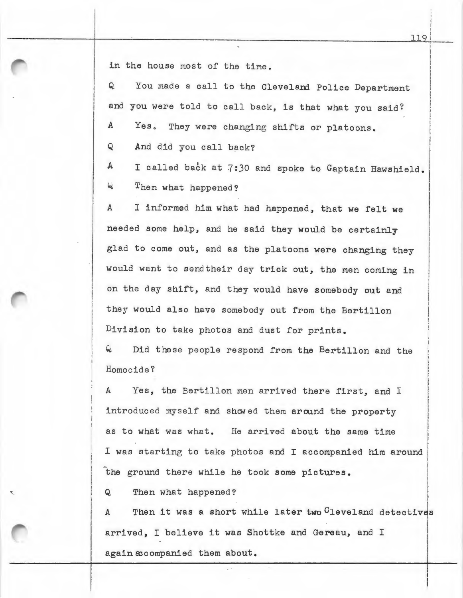in the house most of the time.

Q You made a call to the Cleveland Police Department and you were told to call back, is that what you said?

A Yes. They were changing shifts or platoons.

Q And did you call back?

A I called back at 7:30 and spoke to Captain Hawshield. Q Then what happened?

A I informed him what had happened, that we felt we needed some help, and he said they would be certainly glad to come out, and as the platoons were changing they would want to sendtheir day trick out, the men coming in on the day shift, and they would have somebody out and they would also have somebody out from the Bertillon Division to take photos and dust for prints.

Did these people respond from the Bertillon and the Homocide?

*A Yes,* the Bertillon men arrived there first, and I introduced myself and showed them around the property as to what was what. He arrived about the same time I was starting to take photos and I accompanied him around the ground there while he took some pictures.

Q Then what happened?

A Then it was a short while later two <sup>C</sup>leveland detectives arrived, I believe it was Shottke and Gereau, and I I again accompanied them about.

I !! I I i i

I I I I

I I

I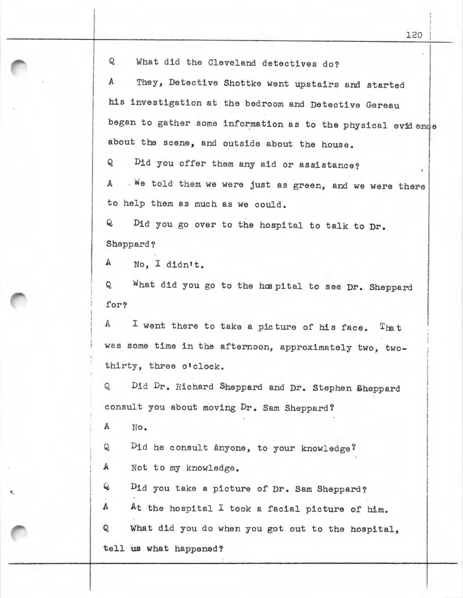Q What did the Cleveland detectives do?

A They, Detective Shottke went upstairs and started his investigation at the bedroom and Detective Gereau began to gather some information as to the physical evidence i about the scene, and outside about the house. I **I** 

Q Did you offer them any aid or assistance?

A - We told them we were just as green, and we were there to help them as much as we could.

Q Did you go over to the hospital to talk to Dr. Sheppard?

A No, I didn't.

Q What did you go to the hospital to see Dr. Sheppard for?

 $A$  I went there to take a picture of his face. That was some time in the afternoon, approximately two, twothirty, three o'clock.

Q Did Dr. Richard Sheppard and Dr. Stephen Sheppard consult you about moving Dr. Sam Sheppard?

A No.

Q Did he consult anyone, to your knowledge?

A Not to my knowledge.

Q Dia you take a picture of Dr. Sam Sheppard?

A At the hospital I took a facial picture of him.

Q What did you do when you got out to the hospital, tell us what happened?

I i i I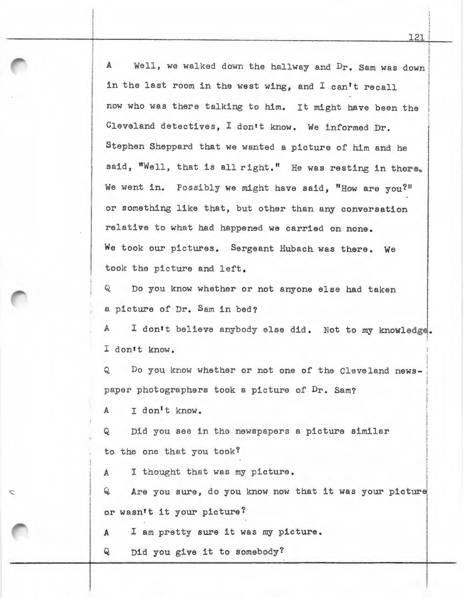A Well, we walked down the hallway and Dr. Sam was down in the last room in the west wing, and I can't recall now who was there talking to him. It might have been the <sup>I</sup>Cleveland detectives, I don't know. We informed Dr. Stephen Sheppard that we wanted a picture of him and he said, "Well, that is all right." He was resting in there. We went in. Possibly we might have said, "How are you?" or something like that, but other than any conversation relative to what had happened we carried on none. We took our pictures. Sergeant Hubach was there. We took the picture and left.

Q Do you know whether or not anyone else had taken a picture of Dr. Sam in bed?

A I don't believe any body else did. Not to my knowledge. I don't know. i

Q Do you know whether or not one of the Cleveland newspaper photographers took a picture of Dr. Sam?

A I don't know.

Q Did you see in the newspapers a picture similar to the one that you took?

A I thought that was my picture.

 $Q$  Are you sure, do you know now that it was your picture or wasn't it your picture?

A I am pretty sure it was my picture.

Q Did you give it to somebody?

t I : I

I

I I I I

; I

I

**International Control**<br>International Control<br>International Control

**I** 

I I I I

j

i I I

I I

 $\mathbf{I}$ I  $\frac{1}{2}$